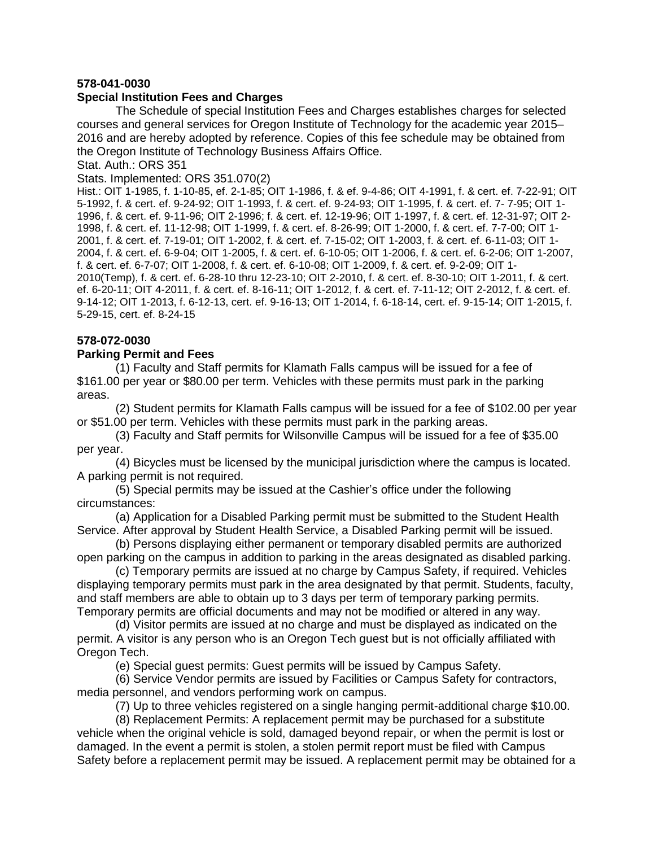## **578-041-0030**

## **Special Institution Fees and Charges**

The Schedule of special Institution Fees and Charges establishes charges for selected courses and general services for Oregon Institute of Technology for the academic year 2015– 2016 and are hereby adopted by reference. Copies of this fee schedule may be obtained from the Oregon Institute of Technology Business Affairs Office.

Stat. Auth.: ORS 351

Stats. Implemented: ORS 351.070(2)

Hist.: OIT 1-1985, f. 1-10-85, ef. 2-1-85; OIT 1-1986, f. & ef. 9-4-86; OIT 4-1991, f. & cert. ef. 7-22-91; OIT 5-1992, f. & cert. ef. 9-24-92; OIT 1-1993, f. & cert. ef. 9-24-93; OIT 1-1995, f. & cert. ef. 7- 7-95; OIT 1- 1996, f. & cert. ef. 9-11-96; OIT 2-1996; f. & cert. ef. 12-19-96; OIT 1-1997, f. & cert. ef. 12-31-97; OIT 2- 1998, f. & cert. ef. 11-12-98; OIT 1-1999, f. & cert. ef. 8-26-99; OIT 1-2000, f. & cert. ef. 7-7-00; OIT 1- 2001, f. & cert. ef. 7-19-01; OIT 1-2002, f. & cert. ef. 7-15-02; OIT 1-2003, f. & cert. ef. 6-11-03; OIT 1- 2004, f. & cert. ef. 6-9-04; OIT 1-2005, f. & cert. ef. 6-10-05; OIT 1-2006, f. & cert. ef. 6-2-06; OIT 1-2007, f. & cert. ef. 6-7-07; OIT 1-2008, f. & cert. ef. 6-10-08; OIT 1-2009, f. & cert. ef. 9-2-09; OIT 1- 2010(Temp), f. & cert. ef. 6-28-10 thru 12-23-10; OIT 2-2010, f. & cert. ef. 8-30-10; OIT 1-2011, f. & cert. ef. 6-20-11; OIT 4-2011, f. & cert. ef. 8-16-11; OIT 1-2012, f. & cert. ef. 7-11-12; OIT 2-2012, f. & cert. ef. 9-14-12; OIT 1-2013, f. 6-12-13, cert. ef. 9-16-13; OIT 1-2014, f. 6-18-14, cert. ef. 9-15-14; OIT 1-2015, f. 5-29-15, cert. ef. 8-24-15

## **578-072-0030**

## **Parking Permit and Fees**

(1) Faculty and Staff permits for Klamath Falls campus will be issued for a fee of \$161.00 per year or \$80.00 per term. Vehicles with these permits must park in the parking areas.

(2) Student permits for Klamath Falls campus will be issued for a fee of \$102.00 per year or \$51.00 per term. Vehicles with these permits must park in the parking areas.

(3) Faculty and Staff permits for Wilsonville Campus will be issued for a fee of \$35.00 per year.

(4) Bicycles must be licensed by the municipal jurisdiction where the campus is located. A parking permit is not required.

(5) Special permits may be issued at the Cashier's office under the following circumstances:

(a) Application for a Disabled Parking permit must be submitted to the Student Health Service. After approval by Student Health Service, a Disabled Parking permit will be issued.

(b) Persons displaying either permanent or temporary disabled permits are authorized open parking on the campus in addition to parking in the areas designated as disabled parking.

(c) Temporary permits are issued at no charge by Campus Safety, if required. Vehicles displaying temporary permits must park in the area designated by that permit. Students, faculty, and staff members are able to obtain up to 3 days per term of temporary parking permits. Temporary permits are official documents and may not be modified or altered in any way.

(d) Visitor permits are issued at no charge and must be displayed as indicated on the permit. A visitor is any person who is an Oregon Tech guest but is not officially affiliated with Oregon Tech.

(e) Special guest permits: Guest permits will be issued by Campus Safety.

(6) Service Vendor permits are issued by Facilities or Campus Safety for contractors, media personnel, and vendors performing work on campus.

(7) Up to three vehicles registered on a single hanging permit-additional charge \$10.00.

(8) Replacement Permits: A replacement permit may be purchased for a substitute vehicle when the original vehicle is sold, damaged beyond repair, or when the permit is lost or damaged. In the event a permit is stolen, a stolen permit report must be filed with Campus Safety before a replacement permit may be issued. A replacement permit may be obtained for a